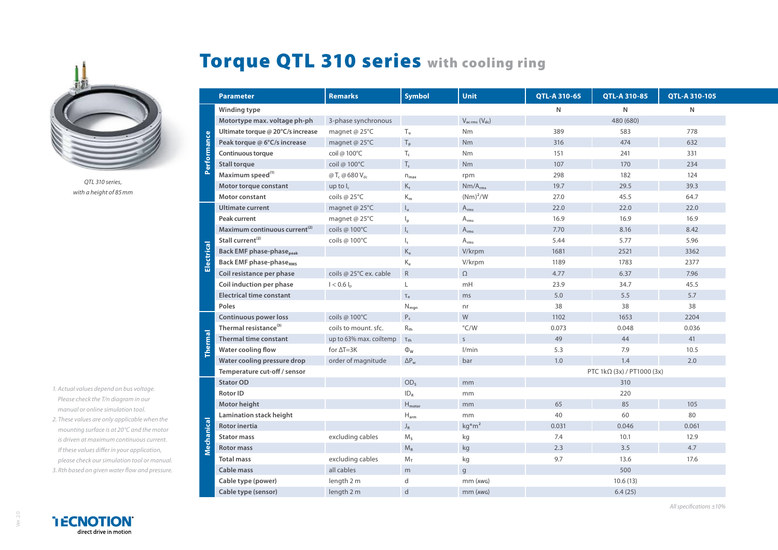

*QTL 310 series, with a height of 85mm*

- *1. Actual values depend on bus voltage. Please check the T/n diagram in our manual or online simulation tool.*
- *2. These values are only applicable when the mounting surface is at 20°C and the motor is driven at maximum continuous current. If these values differ in your application, please check our simulation tool or manual. 3. Rth based on given water flow and pressure.*



Ver. 2.0

## Torque QTL 310 series with cooling ring

|             | <b>Parameter</b>                            | <b>Remarks</b>                        | <b>Symbol</b>             | Unit                                | QTL-A 310-65               | <b>QTL-A 310-85</b> | QTL-A 310-105 |
|-------------|---------------------------------------------|---------------------------------------|---------------------------|-------------------------------------|----------------------------|---------------------|---------------|
| Performance | Winding type                                |                                       |                           |                                     | N                          | N                   | N             |
|             | Motortype max. voltage ph-ph                | 3-phase synchronous                   |                           | $V_{\text{ac rms}} (V_{\text{dc}})$ |                            | 480 (680)           |               |
|             | Ultimate torque @ 20°C/s increase           | magnet @ 25°C                         | $T_u$                     | Nm                                  | 389                        | 583                 | 778           |
|             | Peak torque @ 6°C/s increase                | magnet @ 25°C                         | $T_{\rm p}$               | N <sub>m</sub>                      | 316                        | 474                 | 632           |
|             | <b>Continuous torque</b>                    | coil @ 100°C                          | $\mathsf{T}_{\mathsf{c}}$ | Nm                                  | 151                        | 241                 | 331           |
|             | <b>Stall torque</b>                         | coil @ 100°C                          | $T_{s}$                   | N <sub>m</sub>                      | 107                        | 170                 | 234           |
|             | Maximum speed <sup>(1)</sup>                | @T <sub>c</sub> @ 680 V <sub>dc</sub> | $n_{\sf max}$             | rpm                                 | 298                        | 182                 | 124           |
|             | Motor torque constant                       | up to $I_c$                           | $K_t$                     | $Nm/A_{rms}$                        | 19.7                       | 29.5                | 39.3          |
|             | Motor constant                              | coils @ 25°C                          | $\mathsf{K}_\mathsf{m}$   | $(Nm)^2/W$                          | 27.0                       | 45.5                | 64.7          |
| Electrical  | <b>Ultimate current</b>                     | magnet @ 25°C                         | $I_{u}$                   | $A_{rms}$                           | 22.0                       | 22.0                | 22.0          |
|             | Peak current                                | magnet @ 25°C                         | $\mathsf{I}_{\mathsf{p}}$ | $A_{rms}$                           | 16.9                       | 16.9                | 16.9          |
|             | Maximum continuous current <sup>(2)</sup>   | coils @ 100°C                         | $\mathsf{I}_{\mathsf{c}}$ | $\mathsf{A}_{\mathsf{rms}}$         | 7.70                       | 8.16                | 8.42          |
|             | Stall current <sup>(2)</sup>                | coils @ 100°C                         | $\mathsf{I}_\mathsf{s}$   | $\mathsf{A}_{\mathsf{rms}}$         | 5.44                       | 5.77                | 5.96          |
|             | <b>Back EMF phase-phase</b> <sub>peak</sub> |                                       | $K_{e}$                   | V/krpm                              | 1681                       | 2521                | 3362          |
|             | <b>Back EMF phase-phaseRMS</b>              |                                       | $K_e$                     | V/krpm                              | 1189                       | 1783                | 2377          |
|             | Coil resistance per phase                   | coils @ 25°C ex. cable                | ${\sf R}$                 | $\Omega$                            | 4.77                       | 6.37                | 7.96          |
|             | Coil induction per phase                    | $I < 0.6 I_n$                         | L                         | mH                                  | 23.9                       | 34.7                | 45.5          |
|             | <b>Electrical time constant</b>             |                                       | $\tau_e$                  | ms                                  | 5.0                        | 5.5                 | 5.7           |
|             | Poles                                       |                                       | $N_{\text{mgn}}$          | nr                                  | 38                         | 38                  | 38            |
| Thermal     | <b>Continuous power loss</b>                | coils @ 100°C                         | $P_c$                     | W                                   | 1102                       | 1653                | 2204          |
|             | Thermal resistance <sup>(3)</sup>           | coils to mount, sfc.                  | $R_{th}$                  | $\degree$ C/W                       | 0.073                      | 0.048               | 0.036         |
|             | <b>Thermal time constant</b>                | up to 63% max. coiltemp               | $\tau_{\text{th}}$        | $\mathsf{S}$                        | 49                         | 44                  | 41            |
|             | Water cooling flow                          | for $\Delta T = 3K$                   | $\Phi_{\rm W}$            | 1/min                               | 5.3                        | 7.9                 | 10.5          |
|             | Water cooling pressure drop                 | order of magnitude                    | $\Delta P_w$              | bar                                 | 1.0                        | 1.4                 | 2.0           |
|             | Temperature cut-off / sensor                |                                       |                           |                                     | PTC 1kΩ (3x) / PT1000 (3x) |                     |               |
| Mechanical  | <b>Stator OD</b>                            |                                       | OD <sub>s</sub>           | mm                                  |                            | 310                 |               |
|             | Rotor ID                                    |                                       | ID <sub>R</sub>           | mm                                  |                            | 220                 |               |
|             | Motor height                                |                                       | $H_{motor}$               | mm                                  | 65                         | 85                  | 105           |
|             | Lamination stack height                     |                                       | $H_{arm}$                 | mm                                  | 40                         | 60                  | 80            |
|             | Rotor inertia                               |                                       | $\mathsf{J}_\mathsf{R}$   | $kg*m2$                             | 0.031                      | 0.046               | 0.061         |
|             | <b>Stator mass</b>                          | excluding cables                      | $M_s$                     | kg                                  | 7.4                        | 10.1                | 12.9          |
|             | <b>Rotor mass</b>                           |                                       | $M_R$                     | $\mathsf{k}\mathsf{g}$              | 2.3                        | 3.5                 | 4.7           |
|             | <b>Total mass</b>                           | excluding cables                      | $M_T$                     | kg                                  | 9.7                        | 13.6                | 17.6          |
|             | <b>Cable mass</b>                           | all cables                            | m                         | $\mathsf{g}$                        |                            | 500                 |               |
|             | Cable type (power)                          | length 2 m                            | d                         | $mm$ ( $AWG$ )                      |                            | 10.6(13)            |               |
|             | Cable type (sensor)                         | length 2 m                            | $\mathsf{d}$              | $mm$ ( $AWG$ )                      |                            | 6.4(25)             |               |

*All specifications ±10%*